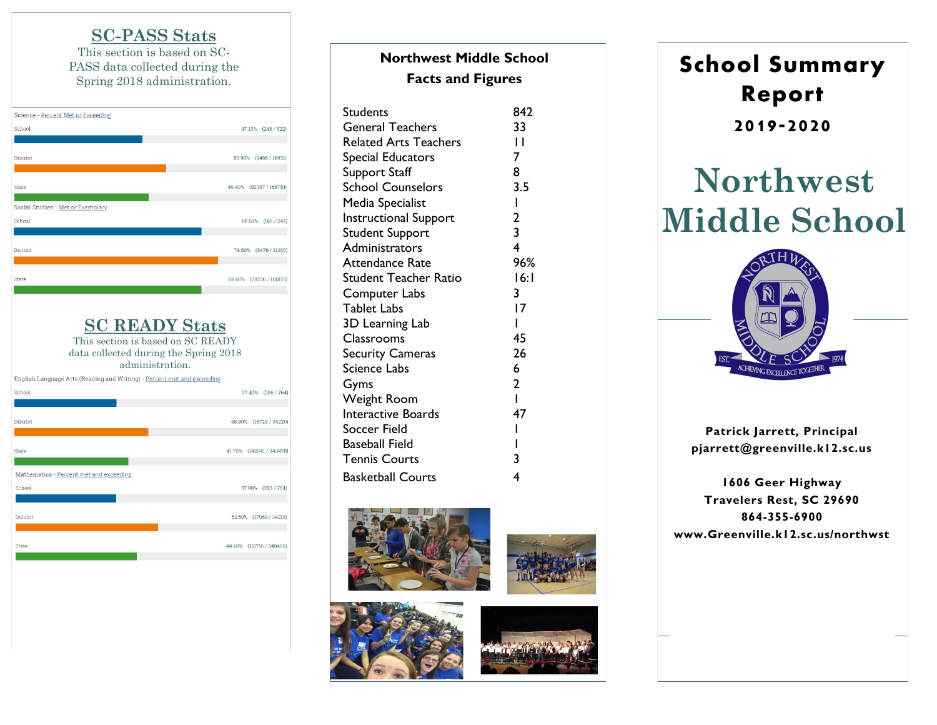### **SC -PASS Stats**

This section is based on SC - PASS data collected during the Spring 2018 administration.



## **SC READY Stats**

This section is based on SC READY data collected during the Spring 2018 administration.



# **Northwest Middle School Facts and Figures**

| Students                     | 842                     |
|------------------------------|-------------------------|
| <b>General Teachers</b>      | 33                      |
| <b>Related Arts Teachers</b> | $\mathbf{I}$            |
| Special Educators            | 7                       |
| Support Staff                | 8                       |
| <b>School Counselors</b>     | 3.5                     |
| Media Specialist             | $\mathbf{I}$            |
| <b>Instructional Support</b> | $\mathbf{2}$            |
| Student Support              | $\overline{\mathbf{3}}$ |
| Administrators               | $\overline{\mathbf{4}}$ |
| Attendance Rate              | 96%                     |
| Student Teacher Ratio        | 16:1                    |
| Computer Labs                | 3                       |
| <b>Tablet Labs</b>           | 17                      |
| 3D Learning Lab              | ı                       |
| <b>Classrooms</b>            | 45                      |
| <b>Security Cameras</b>      | 26                      |
| Science Labs                 | 6                       |
| Gyms                         | $\overline{2}$          |
| <b>Weight Room</b>           | $\overline{1}$          |
| Interactive Boards           | 47                      |
| Soccer Field                 | I                       |
| <b>Baseball Field</b>        | I                       |
| <b>Tennis Courts</b>         | 3                       |
| <b>Basketball Courts</b>     | 4                       |







**School Summary Report 2019 -2020**

# **Northwest Middle School**



**Patrick Jarrett, Principal pjarrett@greenville.k12.sc.us**

**1606 Geer Highway Travelers Rest, SC 29690 864 -355 -6900 www.Greenville.k12.sc.us/northwst**